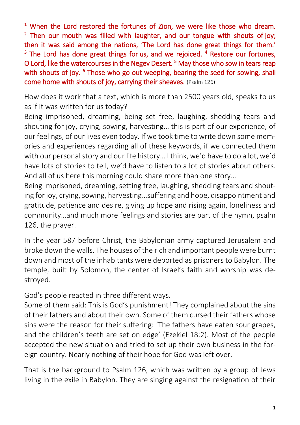<sup>1</sup> When the Lord restored the fortunes of Zion, we were like those who dream. <sup>2</sup> Then our mouth was filled with laughter, and our tongue with shouts of joy; then it was said among the nations, 'The Lord has done great things for them.' <sup>3</sup> The Lord has done great things for us, and we rejoiced. <sup>4</sup> Restore our fortunes, O Lord, like the watercourses in the Negev Desert.<sup>5</sup> May those who sow in tears reap with shouts of joy. <sup>6</sup> Those who go out weeping, bearing the seed for sowing, shall come home with shouts of joy, carrying their sheaves. (Psalm 126)

How does it work that a text, which is more than 2500 years old, speaks to us as if it was written for us today?

Being imprisoned, dreaming, being set free, laughing, shedding tears and shouting for joy, crying, sowing, harvesting… this is part of our experience, of our feelings, of our lives even today. If we took time to write down some memories and experiences regarding all of these keywords, if we connected them with our personal story and our life history… I think, we'd have to do a lot, we'd have lots of stories to tell, we'd have to listen to a lot of stories about others. And all of us here this morning could share more than one story…

Being imprisoned, dreaming, setting free, laughing, shedding tears and shouting for joy, crying, sowing, harvesting…suffering and hope, disappointment and gratitude, patience and desire, giving up hope and rising again, loneliness and community…and much more feelings and stories are part of the hymn, psalm 126, the prayer.

In the year 587 before Christ, the Babylonian army captured Jerusalem and broke down the walls. The houses of the rich and important people were burnt down and most of the inhabitants were deported as prisoners to Babylon. The temple, built by Solomon, the center of Israel's faith and worship was destroyed.

God's people reacted in three different ways.

Some of them said: This is God's punishment! They complained about the sins of their fathers and about their own. Some of them cursed their fathers whose sins were the reason for their suffering: 'The fathers have eaten sour grapes, and the children's teeth are set on edge' (Ezekiel 18:2). Most of the people accepted the new situation and tried to set up their own business in the foreign country. Nearly nothing of their hope for God was left over.

That is the background to Psalm 126, which was written by a group of Jews living in the exile in Babylon. They are singing against the resignation of their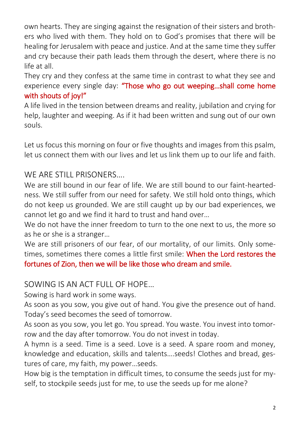own hearts. They are singing against the resignation of their sisters and brothers who lived with them. They hold on to God's promises that there will be healing for Jerusalem with peace and justice. And at the same time they suffer and cry because their path leads them through the desert, where there is no life at all.

They cry and they confess at the same time in contrast to what they see and experience every single day: "Those who go out weeping...shall come home with shouts of joy!"

A life lived in the tension between dreams and reality, jubilation and crying for help, laughter and weeping. As if it had been written and sung out of our own souls.

Let us focus this morning on four or five thoughts and images from this psalm, let us connect them with our lives and let us link them up to our life and faith.

## WE ARE STILL PRISONERS....

We are still bound in our fear of life. We are still bound to our faint-heartedness. We still suffer from our need for safety. We still hold onto things, which do not keep us grounded. We are still caught up by our bad experiences, we cannot let go and we find it hard to trust and hand over…

We do not have the inner freedom to turn to the one next to us, the more so as he or she is a stranger…

We are still prisoners of our fear, of our mortality, of our limits. Only sometimes, sometimes there comes a little first smile: When the Lord restores the fortunes of Zion, then we will be like those who dream and smile.

#### SOWING IS AN ACT FULL OF HOPE…

Sowing is hard work in some ways.

As soon as you sow, you give out of hand. You give the presence out of hand. Today's seed becomes the seed of tomorrow.

As soon as you sow, you let go. You spread. You waste. You invest into tomorrow and the day after tomorrow. You do not invest in today.

A hymn is a seed. Time is a seed. Love is a seed. A spare room and money, knowledge and education, skills and talents….seeds! Clothes and bread, gestures of care, my faith, my power…seeds.

How big is the temptation in difficult times, to consume the seeds just for myself, to stockpile seeds just for me, to use the seeds up for me alone?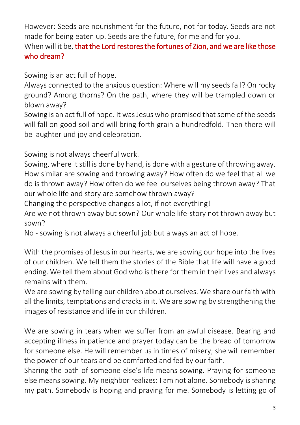However: Seeds are nourishment for the future, not for today. Seeds are not made for being eaten up. Seeds are the future, for me and for you.

### When will it be, that the Lord restores the fortunes of Zion, and we are like those who dream?

Sowing is an act full of hope.

Always connected to the anxious question: Where will my seeds fall? On rocky ground? Among thorns? On the path, where they will be trampled down or blown away?

Sowing is an act full of hope. It was Jesus who promised that some of the seeds will fall on good soil and will bring forth grain a hundredfold. Then there will be laughter und joy and celebration.

Sowing is not always cheerful work.

Sowing, where it still is done by hand, is done with a gesture of throwing away. How similar are sowing and throwing away? How often do we feel that all we do is thrown away? How often do we feel ourselves being thrown away? That our whole life and story are somehow thrown away?

Changing the perspective changes a lot, if not everything!

Are we not thrown away but sown? Our whole life-story not thrown away but sown?

No - sowing is not always a cheerful job but always an act of hope.

With the promises of Jesus in our hearts, we are sowing our hope into the lives of our children. We tell them the stories of the Bible that life will have a good ending. We tell them about God who is there for them in their lives and always remains with them.

We are sowing by telling our children about ourselves. We share our faith with all the limits, temptations and cracks in it. We are sowing by strengthening the images of resistance and life in our children.

We are sowing in tears when we suffer from an awful disease. Bearing and accepting illness in patience and prayer today can be the bread of tomorrow for someone else. He will remember us in times of misery; she will remember the power of our tears and be comforted and fed by our faith.

Sharing the path of someone else's life means sowing. Praying for someone else means sowing. My neighbor realizes: I am not alone. Somebody is sharing my path. Somebody is hoping and praying for me. Somebody is letting go of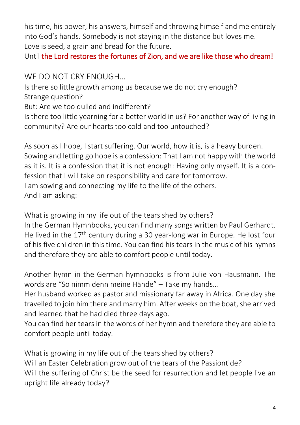his time, his power, his answers, himself and throwing himself and me entirely into God's hands. Somebody is not staying in the distance but loves me. Love is seed, a grain and bread for the future.

Until the Lord restores the fortunes of Zion, and we are like those who dream!

# WE DO NOT CRY ENOUGH…

Is there so little growth among us because we do not cry enough? Strange question? But: Are we too dulled and indifferent? Is there too little yearning for a better world in us? For another way of living in community? Are our hearts too cold and too untouched?

As soon as I hope, I start suffering. Our world, how it is, is a heavy burden. Sowing and letting go hope is a confession: That I am not happy with the world as it is. It is a confession that it is not enough: Having only myself. It is a confession that I will take on responsibility and care for tomorrow. I am sowing and connecting my life to the life of the others. And I am asking:

What is growing in my life out of the tears shed by others? In the German Hymnbooks, you can find many songs written by Paul Gerhardt. He lived in the 17<sup>th</sup> century during a 30 year-long war in Europe. He lost four of his five children in this time. You can find his tears in the music of his hymns and therefore they are able to comfort people until today.

Another hymn in the German hymnbooks is from Julie von Hausmann. The words are "So nimm denn meine Hände" – Take my hands…

Her husband worked as pastor and missionary far away in Africa. One day she travelled to join him there and marry him. After weeks on the boat, she arrived and learned that he had died three days ago.

You can find her tears in the words of her hymn and therefore they are able to comfort people until today.

What is growing in my life out of the tears shed by others? Will an Easter Celebration grow out of the tears of the Passiontide? Will the suffering of Christ be the seed for resurrection and let people live an upright life already today?